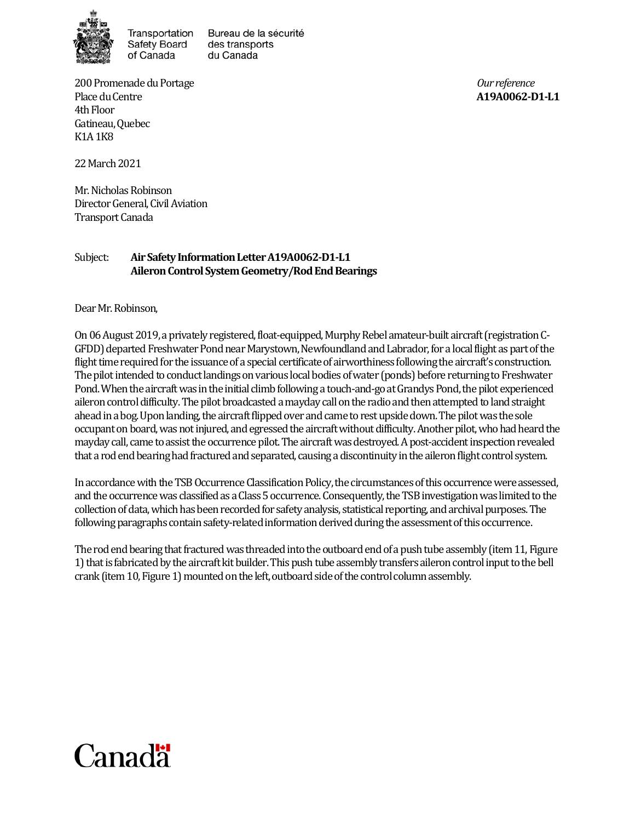

Transportation Safety Board of Canada

Bureau de la sécurité des transports du Canada

200 Promenade du Portage *Our reference* Place du Centre **A19A0062-D1-L1** 4th Floor Gatineau, Quebec K1A 1K8

22March 2021

Mr. Nicholas Robinson Director General, Civil Aviation Transport Canada

## Subject: **Air Safety Information Letter A19A0062-D1-L1 Aileron Control System Geometry/Rod End Bearings**

Dear Mr. Robinson,

On 06 August 2019, a privately registered, float-equipped, Murphy Rebel amateur-built aircraft (registration C-GFDD) departed Freshwater Pond near Marystown, Newfoundland and Labrador, for a local flight as part of the flight time required for the issuance of a special certificate of airworthiness following the aircraft's construction. The pilot intended to conduct landings on various local bodies of water (ponds) before returning to Freshwater Pond. When the aircraft was in the initial climb following a touch-and-go atGrandys Pond, the pilot experienced aileron controldifficulty. The pilot broadcasted a mayday call on the radio and then attemptedto land straight ahead in a bog. Upon landing, the aircraft flipped over and came to rest upside down. The pilot was the sole occupant on board, was not injured, and egressed the aircraft without difficulty. Another pilot, who had heardthe mayday call, came to assist the occurrence pilot. The aircraft was destroyed. A post-accident inspection revealed that a rod end bearinghad fractured and separated, causing a discontinuity in the aileron flight control system.

In accordance with the TSB Occurrence Classification Policy, the circumstances of this occurrence were assessed, and the occurrence was classified as a Class 5 occurrence. Consequently, the TSB investigation was limited to the collection of data, which has been recorded for safety analysis, statistical reporting, and archival purposes. The following paragraphs contain safety-related information derived during the assessment of this occurrence.

The rod end bearing that fractured was threaded into the outboard end of a push tube assembly (item 11, Figure 1) that is fabricated by the aircraft kit builder. This push tube assemblytransfers aileron control inputto the bell crank (item 10, Figure 1) mounted on the left, outboard side of the control column assembly.

## Canadä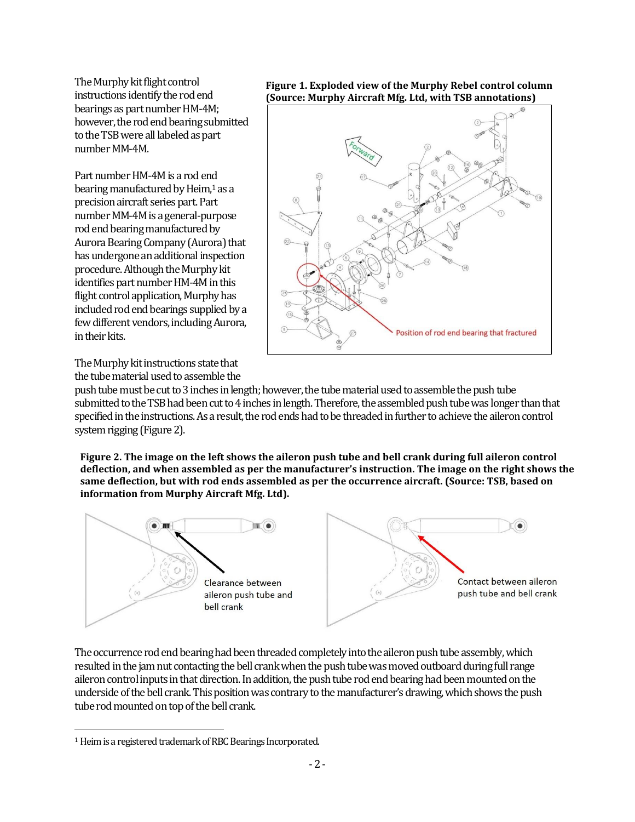The Murphy kit flight control instructions identify the rod end bearings as part number HM-4M; however, the rod end bearing submitted to the TSB were all labeled as part number MM-4M.

Part number HM-4Mis arod end bearing manufactured by Heim,<sup>1</sup> as a precision aircraft series part. Part number MM-4M is a general-purpose rod end bearing manufactured by Aurora Bearing Company (Aurora) that has undergone an additional inspection procedure. Although the Murphy kit identifies part number HM-4M in this flight control application, Murphy has included rod end bearings supplied by a few different vendors, including Aurora, in their kits.

The Murphy kit instructions state that the tube material used to assemble the **Figure 1. Exploded view of the Murphy Rebel control column (Source: Murphy Aircraft Mfg. Ltd, with TSB annotations)**



push tube must be cut to 3 inches in length; however, the tube material used to assemble the push tube submitted to the TSB had been cut to 4 inches in length. Therefore, the assembled push tube was longer than that specified in the instructions. As a result, the rod ends had to be threaded in further to achieve the aileron control system rigging(Figure 2).

**Figure 2. The image on the left shows the aileron push tube and bell crank during full aileron control deflection, and when assembled as per the manufacturer's instruction. The image on the right shows the same deflection, but with rod ends assembled as per the occurrence aircraft. (Source: TSB, based on information from Murphy Aircraft Mfg. Ltd).**



The occurrence rod end bearing had been threaded completely into the aileron push tube assembly, which resulted in the jam nut contacting the bell crank when the push tube was moved outboard during full range aileron control inputs in that direction. In addition, the push tube rod end bearing had been mounted on the underside of the bell crank. This position was contrary to the manufacturer's drawing, which shows the push tube rod mounted on top of the bell crank.

 $\overline{a}$ 

<sup>&</sup>lt;sup>1</sup> Heim is a registered trademark of RBC Bearings Incorporated.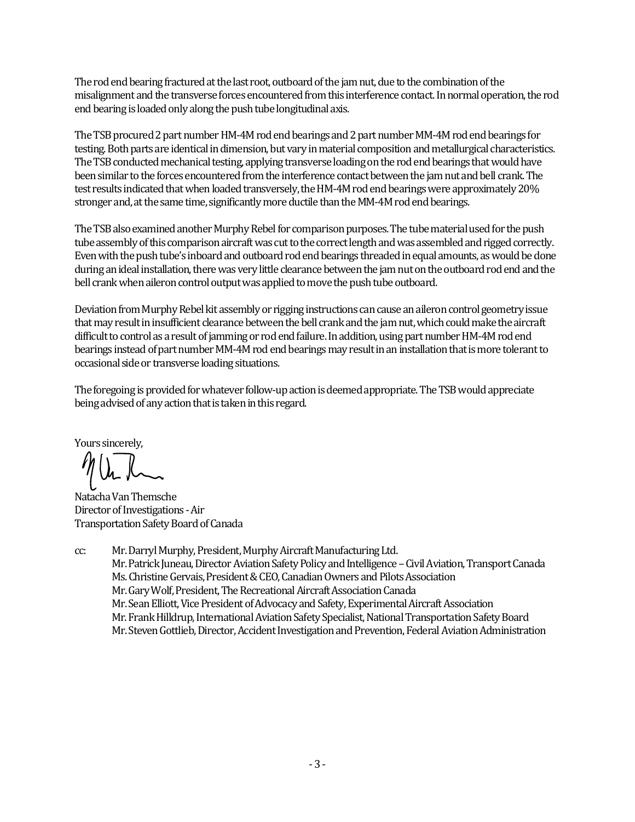The rod end bearing fractured at the last root, outboard of the jam nut, due to the combination of the misalignment and the transverse forces encountered from this interference contact. In normal operation, the rod end bearingis loaded only along the push tube longitudinal axis.

The TSB procured 2 part number HM-4M rod end bearings and 2 part number MM-4M rod end bearings for testing. Both parts are identical in dimension, but vary in material composition and metallurgical characteristics. The TSB conducted mechanical testing, applying transverse loading on the rod end bearings that would have been similar to the forces encountered from the interference contact between the jam nut and bell crank. The test results indicated that when loaded transversely, the HM-4M rod end bearings were approximately 20% stronger and, at the same time, significantly more ductile than the MM-4M rod end bearings.

The TSB also examined another Murphy Rebel for comparison purposes. The tube material used for the push tube assembly of this comparison aircraft was cut to the correct length and was assembled and rigged correctly. Even with the push tube's inboard and outboard rod end bearings threaded in equal amounts, as would be done during an ideal installation, there was very little clearance between the jam nut on the outboard rod end and the bell crank when aileron control output was applied to move the push tube outboard.

Deviation from Murphy Rebel kit assembly or rigging instructions can cause an aileron control geometry issue that may result in insufficient clearance between the bell crank and the jam nut, which could make the aircraft difficult to control as a result of jamming or rod end failure. In addition, using part number HM-4M rod end bearings instead of part number MM-4M rod end bearings may result in an installation that is more tolerant to occasional side or transverse loading situations.

The foregoing is provided for whatever follow-up action is deemed appropriate. The TSB would appreciate being advised of any action that is taken in this regard.

Yours sincerely,

Natacha Van Themsche Director of Investigations -Air Transportation Safety Board of Canada

cc: Mr. Darryl Murphy,President,Murphy Aircraft Manufacturing Ltd. Mr. Patrick Juneau, Director Aviation Safety Policy and Intelligence–Civil Aviation, Transport Canada Ms. Christine Gervais, President & CEO, Canadian Owners and Pilots Association Mr. Gary Wolf, President, The Recreational Aircraft Association Canada Mr. Sean Elliott, Vice President of Advocacy and Safety, Experimental Aircraft Association Mr. Frank Hilldrup, International Aviation Safety Specialist, National Transportation Safety Board Mr. Steven Gottlieb, Director, Accident Investigation and Prevention, Federal Aviation Administration